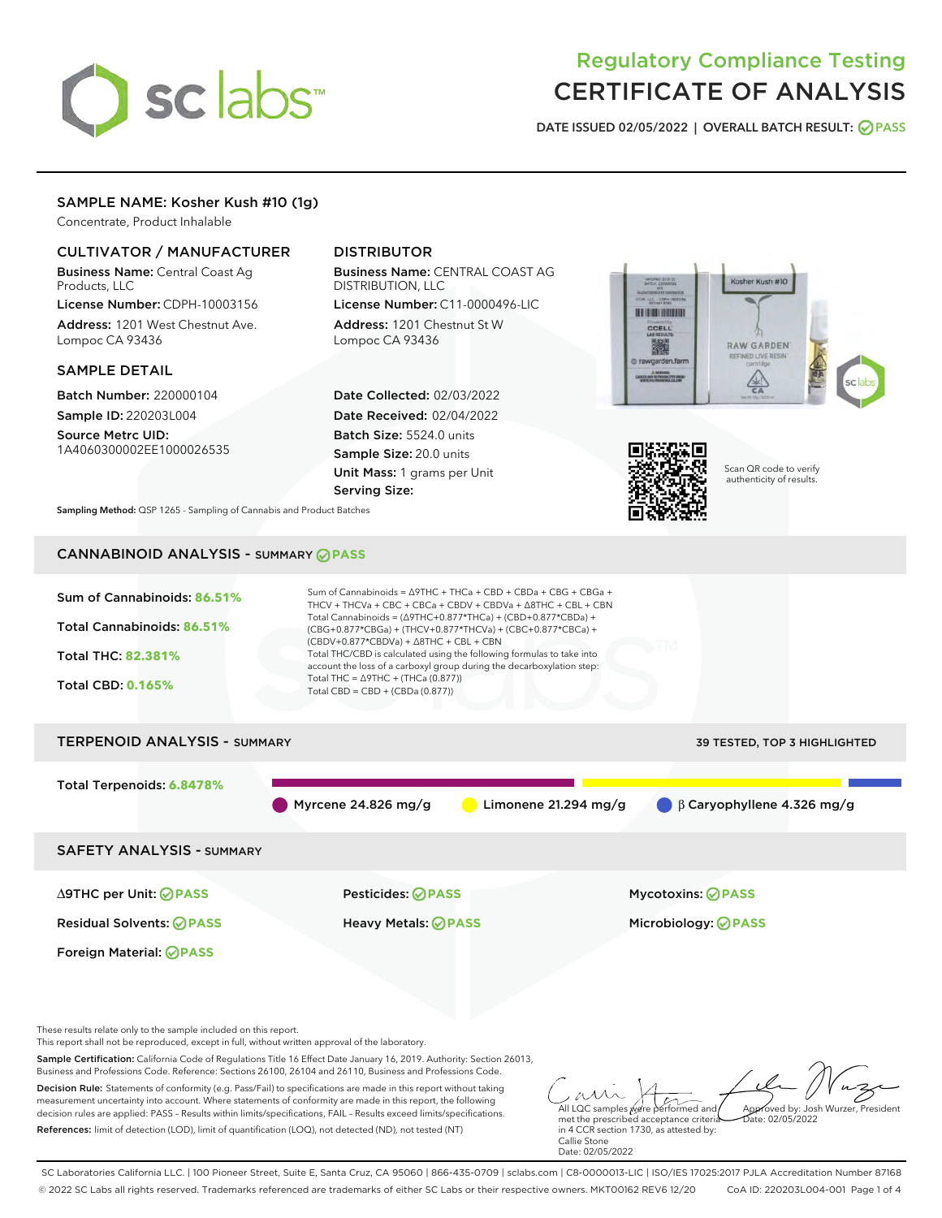# sclabs<sup>\*</sup>

# Regulatory Compliance Testing CERTIFICATE OF ANALYSIS

DATE ISSUED 02/05/2022 | OVERALL BATCH RESULT: @ PASS

# SAMPLE NAME: Kosher Kush #10 (1g)

Concentrate, Product Inhalable

# CULTIVATOR / MANUFACTURER

Business Name: Central Coast Ag Products, LLC

License Number: CDPH-10003156 Address: 1201 West Chestnut Ave. Lompoc CA 93436

# SAMPLE DETAIL

Batch Number: 220000104 Sample ID: 220203L004

Source Metrc UID: 1A4060300002EE1000026535

# DISTRIBUTOR

Business Name: CENTRAL COAST AG DISTRIBUTION, LLC

License Number: C11-0000496-LIC Address: 1201 Chestnut St W Lompoc CA 93436

Date Collected: 02/03/2022 Date Received: 02/04/2022 Batch Size: 5524.0 units Sample Size: 20.0 units Unit Mass: 1 grams per Unit Serving Size:





Scan QR code to verify authenticity of results.

Sampling Method: QSP 1265 - Sampling of Cannabis and Product Batches

# CANNABINOID ANALYSIS - SUMMARY **PASS**



References: limit of detection (LOD), limit of quantification (LOQ), not detected (ND), not tested (NT)

in 4 CCR section 1730, as attested by: Callie Stone Date: 02/05/2022

SC Laboratories California LLC. | 100 Pioneer Street, Suite E, Santa Cruz, CA 95060 | 866-435-0709 | sclabs.com | C8-0000013-LIC | ISO/IES 17025:2017 PJLA Accreditation Number 87168 © 2022 SC Labs all rights reserved. Trademarks referenced are trademarks of either SC Labs or their respective owners. MKT00162 REV6 12/20 CoA ID: 220203L004-001 Page 1 of 4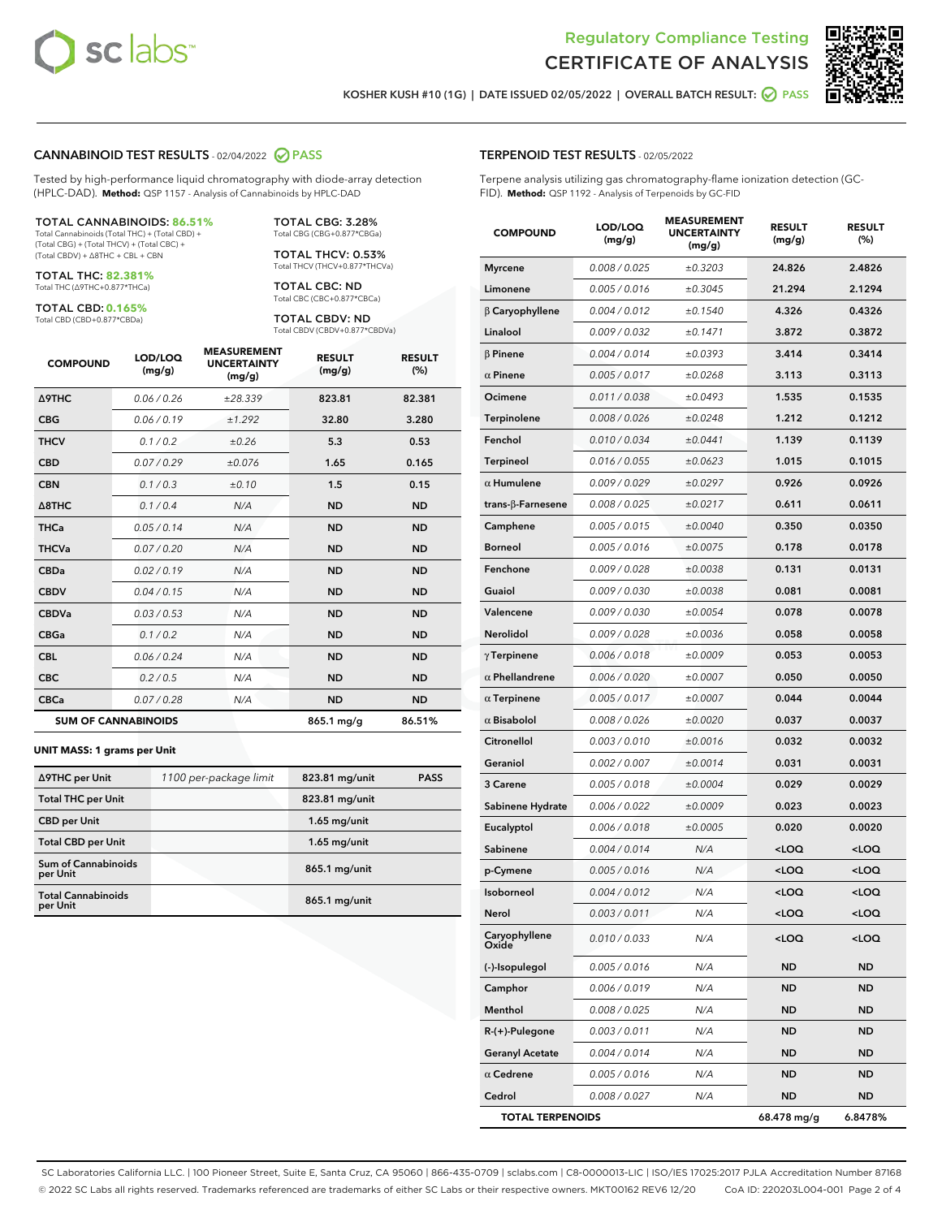

Terpene analysis utilizing gas chromatography-flame ionization detection (GC-



KOSHER KUSH #10 (1G) | DATE ISSUED 02/05/2022 | OVERALL BATCH RESULT: @ PASS

TERPENOID TEST RESULTS - 02/05/2022

FID). **Method:** QSP 1192 - Analysis of Terpenoids by GC-FID

### CANNABINOID TEST RESULTS - 02/04/2022 2 PASS

Tested by high-performance liquid chromatography with diode-array detection (HPLC-DAD). **Method:** QSP 1157 - Analysis of Cannabinoids by HPLC-DAD

### TOTAL CANNABINOIDS: **86.51%**

Total Cannabinoids (Total THC) + (Total CBD) + (Total CBG) + (Total THCV) + (Total CBC) + (Total CBDV) + ∆8THC + CBL + CBN

TOTAL THC: **82.381%** Total THC (∆9THC+0.877\*THCa)

TOTAL CBD: **0.165%**

Total CBD (CBD+0.877\*CBDa)

TOTAL CBG: 3.28% Total CBG (CBG+0.877\*CBGa)

TOTAL THCV: 0.53% Total THCV (THCV+0.877\*THCVa)

TOTAL CBC: ND Total CBC (CBC+0.877\*CBCa)

TOTAL CBDV: ND Total CBDV (CBDV+0.877\*CBDVa)

| <b>COMPOUND</b>            | LOD/LOQ<br>(mg/g) | <b>MEASUREMENT</b><br><b>UNCERTAINTY</b><br>(mg/g) | <b>RESULT</b><br>(mg/g) | <b>RESULT</b><br>(%) |
|----------------------------|-------------------|----------------------------------------------------|-------------------------|----------------------|
| <b>A9THC</b>               | 0.06 / 0.26       | ±28.339                                            | 823.81                  | 82.381               |
| <b>CBG</b>                 | 0.06/0.19         | ±1.292                                             | 32.80                   | 3.280                |
| <b>THCV</b>                | 0.1/0.2           | ±0.26                                              | 5.3                     | 0.53                 |
| <b>CBD</b>                 | 0.07/0.29         | ±0.076                                             | 1.65                    | 0.165                |
| <b>CBN</b>                 | 0.1 / 0.3         | $\pm 0.10$                                         | 1.5                     | 0.15                 |
| $\triangle$ 8THC           | 0.1 / 0.4         | N/A                                                | <b>ND</b>               | <b>ND</b>            |
| <b>THCa</b>                | 0.05/0.14         | N/A                                                | <b>ND</b>               | <b>ND</b>            |
| <b>THCVa</b>               | 0.07/0.20         | N/A                                                | <b>ND</b>               | <b>ND</b>            |
| <b>CBDa</b>                | 0.02/0.19         | N/A                                                | <b>ND</b>               | <b>ND</b>            |
| <b>CBDV</b>                | 0.04/0.15         | N/A                                                | <b>ND</b>               | <b>ND</b>            |
| <b>CBDVa</b>               | 0.03/0.53         | N/A                                                | <b>ND</b>               | <b>ND</b>            |
| <b>CBGa</b>                | 0.1/0.2           | N/A                                                | <b>ND</b>               | <b>ND</b>            |
| <b>CBL</b>                 | 0.06 / 0.24       | N/A                                                | <b>ND</b>               | <b>ND</b>            |
| <b>CBC</b>                 | 0.2 / 0.5         | N/A                                                | <b>ND</b>               | <b>ND</b>            |
| <b>CBCa</b>                | 0.07 / 0.28       | N/A                                                | <b>ND</b>               | <b>ND</b>            |
| <b>SUM OF CANNABINOIDS</b> |                   |                                                    | 865.1 mg/g              | 86.51%               |

### **UNIT MASS: 1 grams per Unit**

| ∆9THC per Unit                        | 1100 per-package limit | 823.81 mg/unit  | <b>PASS</b> |
|---------------------------------------|------------------------|-----------------|-------------|
| <b>Total THC per Unit</b>             |                        | 823.81 mg/unit  |             |
| <b>CBD per Unit</b>                   |                        | $1.65$ mg/unit  |             |
| <b>Total CBD per Unit</b>             |                        | $1.65$ mg/unit  |             |
| Sum of Cannabinoids<br>per Unit       |                        | $865.1$ mg/unit |             |
| <b>Total Cannabinoids</b><br>per Unit |                        | $865.1$ mg/unit |             |

| <b>COMPOUND</b>           | LOD/LOQ<br>(mg/g) | <b>MEASUREMENT</b><br><b>UNCERTAINTY</b><br>(mq/q) | <b>RESULT</b><br>(mg/g)                         | <b>RESULT</b><br>$(\%)$ |
|---------------------------|-------------------|----------------------------------------------------|-------------------------------------------------|-------------------------|
| <b>Myrcene</b>            | 0.008 / 0.025     | ±0.3203                                            | 24.826                                          | 2.4826                  |
| Limonene                  | 0.005 / 0.016     | ±0.3045                                            | 21.294                                          | 2.1294                  |
| $\beta$ Caryophyllene     | 0.004 / 0.012     | ±0.1540                                            | 4.326                                           | 0.4326                  |
| Linalool                  | 0.009 / 0.032     | ±0.1471                                            | 3.872                                           | 0.3872                  |
| $\beta$ Pinene            | 0.004 / 0.014     | ±0.0393                                            | 3.414                                           | 0.3414                  |
| $\alpha$ Pinene           | 0.005 / 0.017     | ±0.0268                                            | 3.113                                           | 0.3113                  |
| Ocimene                   | 0.011 / 0.038     | ±0.0493                                            | 1.535                                           | 0.1535                  |
| Terpinolene               | 0.008 / 0.026     | ±0.0248                                            | 1.212                                           | 0.1212                  |
| Fenchol                   | 0.010 / 0.034     | ±0.0441                                            | 1.139                                           | 0.1139                  |
| Terpineol                 | 0.016 / 0.055     | ±0.0623                                            | 1.015                                           | 0.1015                  |
| $\alpha$ Humulene         | 0.009/0.029       | ±0.0297                                            | 0.926                                           | 0.0926                  |
| trans- $\beta$ -Farnesene | 0.008 / 0.025     | ±0.0217                                            | 0.611                                           | 0.0611                  |
| Camphene                  | 0.005 / 0.015     | ±0.0040                                            | 0.350                                           | 0.0350                  |
| <b>Borneol</b>            | 0.005 / 0.016     | ±0.0075                                            | 0.178                                           | 0.0178                  |
| Fenchone                  | 0.009 / 0.028     | ±0.0038                                            | 0.131                                           | 0.0131                  |
| Guaiol                    | 0.009 / 0.030     | ±0.0038                                            | 0.081                                           | 0.0081                  |
| Valencene                 | 0.009 / 0.030     | ±0.0054                                            | 0.078                                           | 0.0078                  |
| <b>Nerolidol</b>          | 0.009 / 0.028     | ±0.0036                                            | 0.058                                           | 0.0058                  |
| $\gamma$ Terpinene        | 0.006 / 0.018     | ±0.0009                                            | 0.053                                           | 0.0053                  |
| $\alpha$ Phellandrene     | 0.006 / 0.020     | ±0.0007                                            | 0.050                                           | 0.0050                  |
| $\alpha$ Terpinene        | 0.005 / 0.017     | ±0.0007                                            | 0.044                                           | 0.0044                  |
| $\alpha$ Bisabolol        | 0.008 / 0.026     | ±0.0020                                            | 0.037                                           | 0.0037                  |
| Citronellol               | 0.003 / 0.010     | ±0.0016                                            | 0.032                                           | 0.0032                  |
| Geraniol                  | 0.002 / 0.007     | ±0.0014                                            | 0.031                                           | 0.0031                  |
| 3 Carene                  | 0.005 / 0.018     | ±0.0004                                            | 0.029                                           | 0.0029                  |
| Sabinene Hydrate          | 0.006 / 0.022     | ±0.0009                                            | 0.023                                           | 0.0023                  |
| Eucalyptol                | 0.006 / 0.018     | ±0.0005                                            | 0.020                                           | 0.0020                  |
| Sabinene                  | 0.004 / 0.014     | N/A                                                | <loq< th=""><th><loq< th=""></loq<></th></loq<> | <loq< th=""></loq<>     |
| p-Cymene                  | 0.005 / 0.016     | N/A                                                | <loq< th=""><th><loq< th=""></loq<></th></loq<> | <loq< th=""></loq<>     |
| Isoborneol                | 0.004 / 0.012     | N/A                                                | <loq< th=""><th><loq< th=""></loq<></th></loq<> | <loq< th=""></loq<>     |
| Nerol                     | 0.003 / 0.011     | N/A                                                | <loq< th=""><th><loq< th=""></loq<></th></loq<> | <loq< th=""></loq<>     |
| Caryophyllene<br>Oxide    | 0.010 / 0.033     | N/A                                                | <loq< th=""><th><loq< th=""></loq<></th></loq<> | <loq< th=""></loq<>     |
| (-)-Isopulegol            | 0.005 / 0.016     | N/A                                                | ND                                              | ND                      |
| Camphor                   | 0.006 / 0.019     | N/A                                                | ND                                              | <b>ND</b>               |
| Menthol                   | 0.008 / 0.025     | N/A                                                | ND.                                             | ND                      |
| R-(+)-Pulegone            | 0.003 / 0.011     | N/A                                                | <b>ND</b>                                       | ND                      |
| <b>Geranyl Acetate</b>    | 0.004 / 0.014     | N/A                                                | ND                                              | <b>ND</b>               |
| $\alpha$ Cedrene          | 0.005 / 0.016     | N/A                                                | ND                                              | ND                      |
| Cedrol                    | 0.008 / 0.027     | N/A                                                | ND                                              | ND                      |
| <b>TOTAL TERPENOIDS</b>   |                   |                                                    | 68.478 mg/g                                     | 6.8478%                 |

SC Laboratories California LLC. | 100 Pioneer Street, Suite E, Santa Cruz, CA 95060 | 866-435-0709 | sclabs.com | C8-0000013-LIC | ISO/IES 17025:2017 PJLA Accreditation Number 87168 © 2022 SC Labs all rights reserved. Trademarks referenced are trademarks of either SC Labs or their respective owners. MKT00162 REV6 12/20 CoA ID: 220203L004-001 Page 2 of 4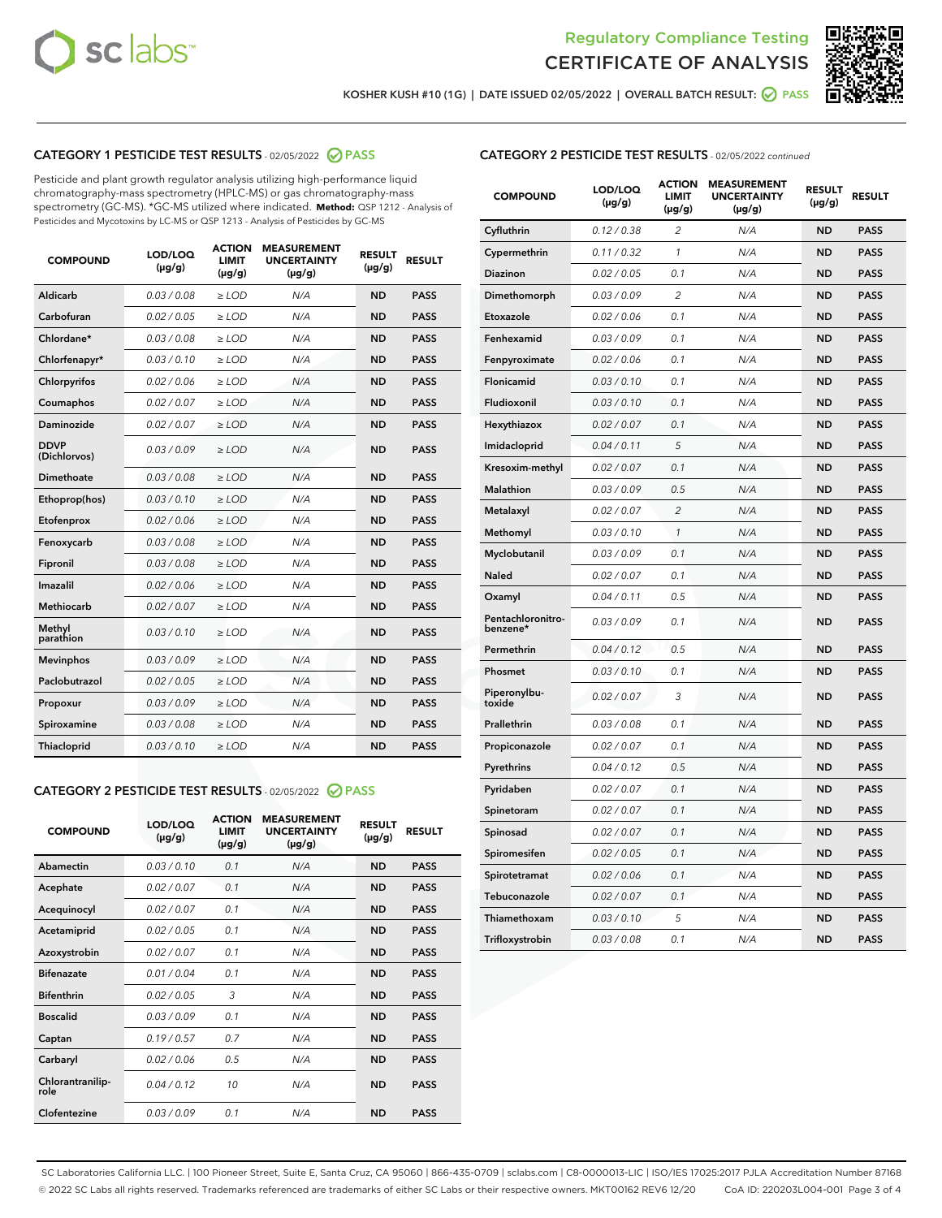



KOSHER KUSH #10 (1G) | DATE ISSUED 02/05/2022 | OVERALL BATCH RESULT: @ PASS

# CATEGORY 1 PESTICIDE TEST RESULTS - 02/05/2022 2 PASS

Pesticide and plant growth regulator analysis utilizing high-performance liquid chromatography-mass spectrometry (HPLC-MS) or gas chromatography-mass spectrometry (GC-MS). \*GC-MS utilized where indicated. **Method:** QSP 1212 - Analysis of Pesticides and Mycotoxins by LC-MS or QSP 1213 - Analysis of Pesticides by GC-MS

| <b>COMPOUND</b>             | LOD/LOQ<br>$(\mu g/g)$ | <b>ACTION</b><br>LIMIT<br>$(\mu g/g)$ | <b>MEASUREMENT</b><br><b>UNCERTAINTY</b><br>$(\mu g/g)$ | <b>RESULT</b><br>$(\mu g/g)$ | <b>RESULT</b> |
|-----------------------------|------------------------|---------------------------------------|---------------------------------------------------------|------------------------------|---------------|
| Aldicarb                    | 0.03/0.08              | $>$ LOD                               | N/A                                                     | <b>ND</b>                    | <b>PASS</b>   |
| Carbofuran                  | 0.02/0.05              | $>$ LOD                               | N/A                                                     | <b>ND</b>                    | <b>PASS</b>   |
| Chlordane*                  | 0.03 / 0.08            | $\ge$ LOD                             | N/A                                                     | <b>ND</b>                    | <b>PASS</b>   |
| Chlorfenapyr*               | 0.03/0.10              | $>$ LOD                               | N/A                                                     | <b>ND</b>                    | <b>PASS</b>   |
| Chlorpyrifos                | 0.02 / 0.06            | $\ge$ LOD                             | N/A                                                     | <b>ND</b>                    | <b>PASS</b>   |
| Coumaphos                   | 0.02 / 0.07            | $\ge$ LOD                             | N/A                                                     | <b>ND</b>                    | <b>PASS</b>   |
| Daminozide                  | 0.02/0.07              | $>$ LOD                               | N/A                                                     | <b>ND</b>                    | <b>PASS</b>   |
| <b>DDVP</b><br>(Dichlorvos) | 0.03/0.09              | $\ge$ LOD                             | N/A                                                     | <b>ND</b>                    | <b>PASS</b>   |
| <b>Dimethoate</b>           | 0.03/0.08              | $\ge$ LOD                             | N/A                                                     | <b>ND</b>                    | <b>PASS</b>   |
| Ethoprop(hos)               | 0.03/0.10              | $>$ LOD                               | N/A                                                     | <b>ND</b>                    | <b>PASS</b>   |
| Etofenprox                  | 0.02 / 0.06            | $\ge$ LOD                             | N/A                                                     | <b>ND</b>                    | <b>PASS</b>   |
| Fenoxycarb                  | 0.03/0.08              | $>$ LOD                               | N/A                                                     | <b>ND</b>                    | <b>PASS</b>   |
| Fipronil                    | 0.03 / 0.08            | $\ge$ LOD                             | N/A                                                     | <b>ND</b>                    | <b>PASS</b>   |
| Imazalil                    | 0.02 / 0.06            | $\ge$ LOD                             | N/A                                                     | <b>ND</b>                    | <b>PASS</b>   |
| Methiocarb                  | 0.02 / 0.07            | $\ge$ LOD                             | N/A                                                     | <b>ND</b>                    | <b>PASS</b>   |
| Methyl<br>parathion         | 0.03/0.10              | $\ge$ LOD                             | N/A                                                     | <b>ND</b>                    | <b>PASS</b>   |
| <b>Mevinphos</b>            | 0.03/0.09              | $\ge$ LOD                             | N/A                                                     | <b>ND</b>                    | <b>PASS</b>   |
| Paclobutrazol               | 0.02 / 0.05            | $>$ LOD                               | N/A                                                     | <b>ND</b>                    | <b>PASS</b>   |
| Propoxur                    | 0.03/0.09              | $\ge$ LOD                             | N/A                                                     | <b>ND</b>                    | <b>PASS</b>   |
| Spiroxamine                 | 0.03 / 0.08            | $\ge$ LOD                             | N/A                                                     | <b>ND</b>                    | <b>PASS</b>   |
| <b>Thiacloprid</b>          | 0.03/0.10              | $\ge$ LOD                             | N/A                                                     | <b>ND</b>                    | <b>PASS</b>   |

# CATEGORY 2 PESTICIDE TEST RESULTS - 02/05/2022 2 PASS

| <b>COMPOUND</b>          | LOD/LOO<br>$(\mu g/g)$ | <b>ACTION</b><br>LIMIT<br>$(\mu g/g)$ | <b>MEASUREMENT</b><br><b>UNCERTAINTY</b><br>$(\mu g/g)$ | <b>RESULT</b><br>$(\mu g/g)$ | <b>RESULT</b> |
|--------------------------|------------------------|---------------------------------------|---------------------------------------------------------|------------------------------|---------------|
| Abamectin                | 0.03/0.10              | 0.1                                   | N/A                                                     | <b>ND</b>                    | <b>PASS</b>   |
| Acephate                 | 0.02/0.07              | 0.1                                   | N/A                                                     | <b>ND</b>                    | <b>PASS</b>   |
| Acequinocyl              | 0.02/0.07              | 0.1                                   | N/A                                                     | <b>ND</b>                    | <b>PASS</b>   |
| Acetamiprid              | 0.02/0.05              | 0.1                                   | N/A                                                     | <b>ND</b>                    | <b>PASS</b>   |
| Azoxystrobin             | 0.02/0.07              | 0.1                                   | N/A                                                     | <b>ND</b>                    | <b>PASS</b>   |
| <b>Bifenazate</b>        | 0.01/0.04              | 0.1                                   | N/A                                                     | <b>ND</b>                    | <b>PASS</b>   |
| <b>Bifenthrin</b>        | 0.02 / 0.05            | 3                                     | N/A                                                     | <b>ND</b>                    | <b>PASS</b>   |
| <b>Boscalid</b>          | 0.03/0.09              | 0.1                                   | N/A                                                     | <b>ND</b>                    | <b>PASS</b>   |
| Captan                   | 0.19/0.57              | 0.7                                   | N/A                                                     | <b>ND</b>                    | <b>PASS</b>   |
| Carbaryl                 | 0.02/0.06              | 0.5                                   | N/A                                                     | <b>ND</b>                    | <b>PASS</b>   |
| Chlorantranilip-<br>role | 0.04/0.12              | 10                                    | N/A                                                     | <b>ND</b>                    | <b>PASS</b>   |
| Clofentezine             | 0.03/0.09              | 0.1                                   | N/A                                                     | <b>ND</b>                    | <b>PASS</b>   |

# CATEGORY 2 PESTICIDE TEST RESULTS - 02/05/2022 continued

| <b>COMPOUND</b>               | LOD/LOQ<br>(µg/g) | <b>ACTION</b><br><b>LIMIT</b><br>$(\mu g/g)$ | <b>MEASUREMENT</b><br><b>UNCERTAINTY</b><br>$(\mu g/g)$ | <b>RESULT</b><br>(µg/g) | <b>RESULT</b> |
|-------------------------------|-------------------|----------------------------------------------|---------------------------------------------------------|-------------------------|---------------|
| Cyfluthrin                    | 0.12 / 0.38       | $\overline{c}$                               | N/A                                                     | <b>ND</b>               | <b>PASS</b>   |
| Cypermethrin                  | 0.11 / 0.32       | 1                                            | N/A                                                     | ND                      | PASS          |
| <b>Diazinon</b>               | 0.02 / 0.05       | 0.1                                          | N/A                                                     | ND                      | <b>PASS</b>   |
| Dimethomorph                  | 0.03 / 0.09       | 2                                            | N/A                                                     | ND                      | <b>PASS</b>   |
| Etoxazole                     | 0.02 / 0.06       | 0.1                                          | N/A                                                     | ND                      | <b>PASS</b>   |
| Fenhexamid                    | 0.03 / 0.09       | 0.1                                          | N/A                                                     | ND                      | <b>PASS</b>   |
| Fenpyroximate                 | 0.02 / 0.06       | 0.1                                          | N/A                                                     | <b>ND</b>               | <b>PASS</b>   |
| Flonicamid                    | 0.03 / 0.10       | 0.1                                          | N/A                                                     | <b>ND</b>               | <b>PASS</b>   |
| Fludioxonil                   | 0.03 / 0.10       | 0.1                                          | N/A                                                     | ND                      | <b>PASS</b>   |
| Hexythiazox                   | 0.02 / 0.07       | 0.1                                          | N/A                                                     | <b>ND</b>               | <b>PASS</b>   |
| Imidacloprid                  | 0.04 / 0.11       | 5                                            | N/A                                                     | ND                      | <b>PASS</b>   |
| Kresoxim-methyl               | 0.02 / 0.07       | 0.1                                          | N/A                                                     | ND                      | <b>PASS</b>   |
| Malathion                     | 0.03 / 0.09       | 0.5                                          | N/A                                                     | <b>ND</b>               | <b>PASS</b>   |
| Metalaxyl                     | 0.02 / 0.07       | $\overline{c}$                               | N/A                                                     | <b>ND</b>               | <b>PASS</b>   |
| Methomyl                      | 0.03 / 0.10       | $\mathcal{I}$                                | N/A                                                     | ND                      | <b>PASS</b>   |
| Myclobutanil                  | 0.03/0.09         | 0.1                                          | N/A                                                     | <b>ND</b>               | <b>PASS</b>   |
| <b>Naled</b>                  | 0.02 / 0.07       | 0.1                                          | N/A                                                     | <b>ND</b>               | <b>PASS</b>   |
| Oxamyl                        | 0.04 / 0.11       | 0.5                                          | N/A                                                     | ND                      | <b>PASS</b>   |
| Pentachloronitro-<br>benzene* | 0.03/0.09         | 0.1                                          | N/A                                                     | <b>ND</b>               | <b>PASS</b>   |
| Permethrin                    | 0.04 / 0.12       | 0.5                                          | N/A                                                     | ND                      | PASS          |
| Phosmet                       | 0.03 / 0.10       | 0.1                                          | N/A                                                     | <b>ND</b>               | <b>PASS</b>   |
| Piperonylbu-<br>toxide        | 0.02 / 0.07       | 3                                            | N/A                                                     | <b>ND</b>               | <b>PASS</b>   |
| Prallethrin                   | 0.03 / 0.08       | 0.1                                          | N/A                                                     | ND                      | <b>PASS</b>   |
| Propiconazole                 | 0.02 / 0.07       | 0.1                                          | N/A                                                     | ND                      | <b>PASS</b>   |
| Pyrethrins                    | 0.04 / 0.12       | 0.5                                          | N/A                                                     | <b>ND</b>               | <b>PASS</b>   |
| Pyridaben                     | 0.02 / 0.07       | 0.1                                          | N/A                                                     | <b>ND</b>               | <b>PASS</b>   |
| Spinetoram                    | 0.02 / 0.07       | 0.1                                          | N/A                                                     | ND                      | <b>PASS</b>   |
| Spinosad                      | 0.02 / 0.07       | 0.1                                          | N/A                                                     | <b>ND</b>               | <b>PASS</b>   |
| Spiromesifen                  | 0.02 / 0.05       | 0.1                                          | N/A                                                     | ND                      | <b>PASS</b>   |
| Spirotetramat                 | 0.02 / 0.06       | 0.1                                          | N/A                                                     | ND                      | PASS          |
| Tebuconazole                  | 0.02 / 0.07       | 0.1                                          | N/A                                                     | ND                      | <b>PASS</b>   |
| Thiamethoxam                  | 0.03 / 0.10       | 5                                            | N/A                                                     | ND                      | <b>PASS</b>   |
| Trifloxystrobin               | 0.03 / 0.08       | 0.1                                          | N/A                                                     | ND                      | <b>PASS</b>   |

SC Laboratories California LLC. | 100 Pioneer Street, Suite E, Santa Cruz, CA 95060 | 866-435-0709 | sclabs.com | C8-0000013-LIC | ISO/IES 17025:2017 PJLA Accreditation Number 87168 © 2022 SC Labs all rights reserved. Trademarks referenced are trademarks of either SC Labs or their respective owners. MKT00162 REV6 12/20 CoA ID: 220203L004-001 Page 3 of 4